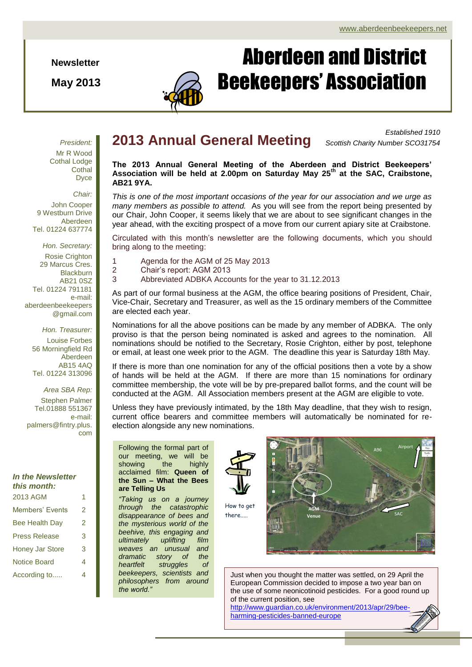**Newsletter**

**May 2013**



# Aberdeen and District Beekeepers' Association

*President:* Mr R Wood Cothal Lodge **Cothal** Dyce

*Chair:* John Cooper 9 Westburn Drive Aberdeen Tel. 01224 637774

*Hon. Secretary:* Rosie Crighton 29 Marcus Cres. **Blackburn** AB21 0SZ Tel. 01224 791181 e-mail: aberdeenbeekeepers @gmail.com

> *Hon. Treasurer:* Louise Forbes 56 Morningfield Rd Aberdeen AB15 4AQ Tel. 01224 313096

*Area SBA Rep:* Stephen Palmer Tel.01888 551367 e-mail: palmers@fintry.plus. com

## *In the Newsletter this month:* 2013 AGM 1

| ZU I ƏHADIM            |   |
|------------------------|---|
| Members' Events        | 2 |
| <b>Bee Health Day</b>  | 2 |
| <b>Press Release</b>   | 3 |
| <b>Honey Jar Store</b> | 3 |
| <b>Notice Board</b>    | 4 |
| According to           | 4 |
|                        |   |

# **2013 Annual General Meeting**

*Established 1910 Scottish Charity Number SCO31754*

**The 2013 Annual General Meeting of the Aberdeen and District Beekeepers' Association will be held at 2.00pm on Saturday May 25th at the SAC, Craibstone, AB21 9YA.**

*This is one of the most important occasions of the year for our association and we urge as many members as possible to attend.* As you will see from the report being presented by our Chair, John Cooper, it seems likely that we are about to see significant changes in the year ahead, with the exciting prospect of a move from our current apiary site at Craibstone.

Circulated with this month's newsletter are the following documents, which you should bring along to the meeting:

- 1 Agenda for the AGM of 25 May 2013
- 2 Chair's report: AGM 2013
- 3 Abbreviated ADBKA Accounts for the year to 31.12.2013

As part of our formal business at the AGM, the office bearing positions of President, Chair, Vice-Chair, Secretary and Treasurer, as well as the 15 ordinary members of the Committee are elected each year.

Nominations for all the above positions can be made by any member of ADBKA. The only proviso is that the person being nominated is asked and agrees to the nomination. All nominations should be notified to the Secretary, Rosie Crighton, either by post, telephone or email, at least one week prior to the AGM. The deadline this year is Saturday 18th May.

conducted at the AGM. All Association members present at the AGM are eligible to vote. If there is more than one nomination for any of the official positions then a vote by a show of hands will be held at the AGM. If there are more than 15 nominations for ordinary committee membership, the vote will be by pre-prepared ballot forms, and the count will be

Unless they have previously intimated, by the 18th May deadline, that they wish to resign, current office bearers and committee members will automatically be nominated for reelection alongside any new nominations.

Following the formal part of our meeting, we will be showing the highly acclaimed film: **Queen of the Sun – What the Bees are Telling Us**

*"Taking us on a journey through the catastrophic disappearance of bees and the mysterious world of the beehive, this engaging and ultimately uplifting film weaves an unusual and dramatic story of the heartfelt struggles of beekeepers, scientists and philosophers from around the world."* 



How to get there....



Just when you thought the matter was settled, on 29 April the European Commission decided to impose a two year ban on the use of some neonicotinoid pesticides. For a good round up of the current position, see

[http://www.guardian.co.uk/environment/2013/apr/29/bee](http://www.guardian.co.uk/environment/2013/apr/29/bee-harming-pesticides-banned-europe)[harming-pesticides-banned-europe](http://www.guardian.co.uk/environment/2013/apr/29/bee-harming-pesticides-banned-europe)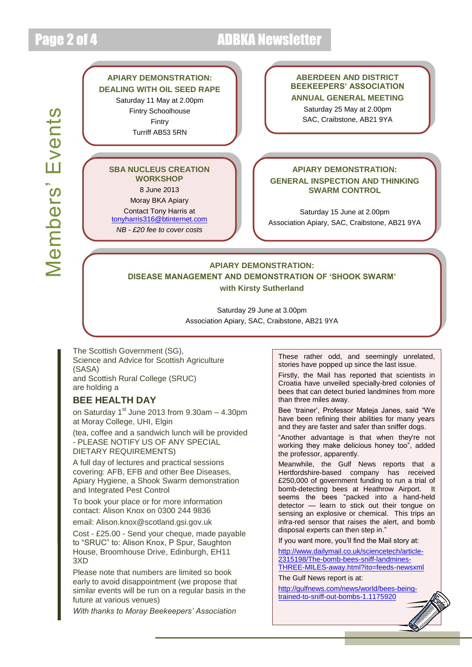# Page 2 of 4 ADBKA Newsletter

# Members' Events Members' Events

## **APIARY DEMONSTRATION: DEALING WITH OIL SEED RAPE** Saturday 11 May at 2.00pm Fintry Schoolhouse

Fintry Turriff AB53 5RN

## **SBA NUCLEUS CREATION WORKSHOP**

8 June 2013

Moray BKA Apiary

Contact Tony Harris at [tonyharris316@btinternet.com](mailto:tonyharris316@btinternet.com)

*NB - £20 fee to cover costs*

## **ABERDEEN AND DISTRICT BEEKEEPERS' ASSOCIATION ANNUAL GENERAL MEETING**

Saturday 25 May at 2.00pm SAC, Craibstone, AB21 9YA

## **APIARY DEMONSTRATION:**

## **GENERAL INSPECTION AND THINKING SWARM CONTROL**

Saturday 15 June at 2.00pm Association Apiary, SAC, Craibstone, AB21 9YA

## **APIARY DEMONSTRATION: DISEASE MANAGEMENT AND DEMONSTRATION OF 'SHOOK SWARM' with Kirsty Sutherland**

Saturday 29 June at 3.00pm Association Apiary, SAC, Craibstone, AB21 9YA

The Scottish Government (SG), Science and Advice for Scottish Agriculture (SASA) and Scottish Rural College (SRUC) are holding a

## **BEE HEALTH DAY**

on Saturday  $1<sup>st</sup>$  June 2013 from 9.30am  $-$  4.30pm at Moray College, UHI, Elgin

(tea, coffee and a sandwich lunch will be provided - PLEASE NOTIFY US OF ANY SPECIAL DIETARY REQUIREMENTS)

A full day of lectures and practical sessions covering: AFB, EFB and other Bee Diseases, Apiary Hygiene, a Shook Swarm demonstration and Integrated Pest Control

To book your place or for more information contact: Alison Knox on 0300 244 9836

email: Alison.knox@scotland.gsi.gov.uk

Cost - £25.00 - Send your cheque, made payable to "SRUC" to: Alison Knox, P Spur, Saughton House, Broomhouse Drive, Edinburgh, EH11 3XD

Please note that numbers are limited so book early to avoid disappointment (we propose that similar events will be run on a regular basis in the future at various venues)

*With thanks to Moray Beekeepers' Association*

These rather odd, and seemingly unrelated, stories have popped up since the last issue.

Firstly, the Mail has reported that scientists in Croatia have unveiled specially-bred colonies of bees that can detect buried landmines from more than three miles away.

Bee 'trainer', Professor Mateja Janes, said "We have been refining their abilities for many years and they are faster and safer than sniffer dogs.

"Another advantage is that when they're not working they make delicious honey too", added the professor, apparently.

Meanwhile, the Gulf News reports that a Hertfordshire-based company has received £250,000 of government funding to run a trial of bomb-detecting bees at Heathrow Airport. It seems the bees "packed into a hand-held detector — learn to stick out their tongue on sensing an explosive or chemical. This trips an infra-red sensor that raises the alert, and bomb disposal experts can then step in."

If you want more, you'll find the Mail story at:

[http://www.dailymail.co.uk/sciencetech/article-](http://www.dailymail.co.uk/sciencetech/article-2315198/The-bomb-bees-sniff-landmines-THREE-MILES-away.html?ito=feeds-newsxml)[2315198/The-bomb-bees-sniff-landmines-](http://www.dailymail.co.uk/sciencetech/article-2315198/The-bomb-bees-sniff-landmines-THREE-MILES-away.html?ito=feeds-newsxml)[THREE-MILES-away.html?ito=feeds-newsxml](http://www.dailymail.co.uk/sciencetech/article-2315198/The-bomb-bees-sniff-landmines-THREE-MILES-away.html?ito=feeds-newsxml)

The Gulf News report is at:

[http://gulfnews.com/news/world/bees-being](http://gulfnews.com/news/world/bees-being-trained-to-sniff-out-bombs-1.1175920)[trained-to-sniff-out-bombs-1.1175920](http://gulfnews.com/news/world/bees-being-trained-to-sniff-out-bombs-1.1175920)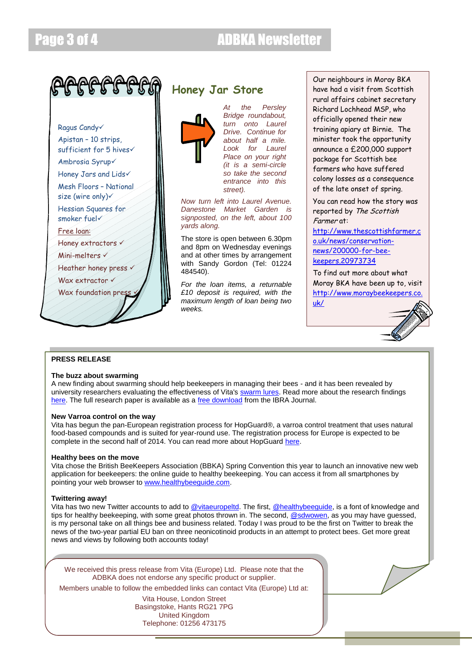

## **Honey Jar Store**



*At the Persley Bridge roundabout, turn onto Laurel Drive. Continue for about half a mile. Look for Laurel Place on your right (it is a semi-circle so take the second entrance into this street).* 

*Now turn left into Laurel Avenue. Danestone Market Garden is signposted, on the left, about 100 yards along.*

The store is open between 6.30pm and 8pm on Wednesday evenings and at other times by arrangement with Sandy Gordon (Tel: 01224 484540).

*For the loan items, a returnable £10 deposit is required, with the maximum length of loan being two weeks.*

Our neighbours in Moray BKA have had a visit from Scottish rural affairs cabinet secretary Richard Lochhead MSP, who officially opened their new training apiary at Birnie. The minister took the opportunity announce a £200,000 support package for Scottish bee farmers who have suffered colony losses as a consequence of the late onset of spring.

You can read how the story was reported by The Scottish Farmer at:

[http://www.thescottishfarmer.c](http://www.thescottishfarmer.co.uk/news/conservation-news/200000-for-bee-keepers.20973734) [o.uk/news/conservation](http://www.thescottishfarmer.co.uk/news/conservation-news/200000-for-bee-keepers.20973734)[news/200000-for-bee](http://www.thescottishfarmer.co.uk/news/conservation-news/200000-for-bee-keepers.20973734)[keepers.20973734](http://www.thescottishfarmer.co.uk/news/conservation-news/200000-for-bee-keepers.20973734)

To find out more about what Moray BKA have been up to, visit [http://www.moraybeekeepers.co.](http://www.moraybeekeepers.co.uk/) [uk/](http://www.moraybeekeepers.co.uk/)



## **PRESS RELEASE**

## **The buzz about swarming**

A new finding about swarming should help beekeepers in managing their bees - and it has been revealed by university researchers evaluating the effectiveness of Vita's [swarm lures.](http://vita-europe.us4.list-manage1.com/track/click?u=55eaf1dfd5ffe33fe0f7c4122&id=b915672b41&e=b9b5df9095) Read more about the research findings [here.](http://vita-europe.us4.list-manage.com/track/click?u=55eaf1dfd5ffe33fe0f7c4122&id=70f600c1e7&e=b9b5df9095) The full research paper is available as a [free download](http://vita-europe.us4.list-manage1.com/track/click?u=55eaf1dfd5ffe33fe0f7c4122&id=ca6facc32d&e=b9b5df9095) from the IBRA Journal.

## **New Varroa control on the way**

Vita has begun the pan-European registration process for HopGuard®, a varroa control treatment that uses natural food-based compounds and is suited for year-round use. The registration process for Europe is expected to be complete in the second half of 2014. You can read more about HopGuard [here.](http://vita-europe.us4.list-manage.com/track/click?u=55eaf1dfd5ffe33fe0f7c4122&id=76f0420a99&e=b9b5df9095)

## **Healthy bees on the move**

Vita chose the British BeeKeepers Association (BBKA) Spring Convention this year to launch an innovative new web application for beekeepers: the online guide to healthy beekeeping. You can access it from all smartphones by pointing your web browser to [www.healthybeeguide.com.](http://vita-europe.us4.list-manage1.com/track/click?u=55eaf1dfd5ffe33fe0f7c4122&id=5143c76d01&e=b9b5df9095)

## **Twittering away!**

Vita has two new Twitter accounts to add t[o @vitaeuropeltd.](http://vita-europe.us4.list-manage.com/track/click?u=55eaf1dfd5ffe33fe0f7c4122&id=15acafdbd4&e=b9b5df9095) The first, [@healthybeeguide,](http://vita-europe.us4.list-manage.com/track/click?u=55eaf1dfd5ffe33fe0f7c4122&id=455e2d96ff&e=b9b5df9095) is a font of knowledge and tips for healthy beekeeping, with some great photos thrown in. The second, [@sdwowen,](http://vita-europe.us4.list-manage.com/track/click?u=55eaf1dfd5ffe33fe0f7c4122&id=3981e13227&e=b9b5df9095) as you may have guessed, is my personal take on all things bee and business related. Today I was proud to be the first on Twitter to break the news of the two-year partial EU ban on three neonicotinoid products in an attempt to protect bees. Get more great news and views by following both accounts today!

We received this press release from Vita (Europe) Ltd. Please note that the ADBKA does not endorse any specific product or supplier.

Members unable to follow the embedded links can contact Vita (Europe) Ltd at:

Vita House, London Street Basingstoke, Hants RG21 7PG United Kingdom Telephone: 01256 473175